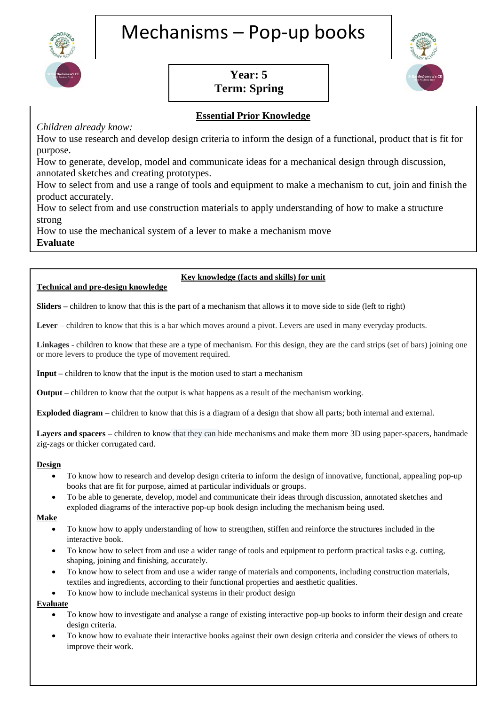

# **Year: 5 Term: Spring**



# **Essential Prior Knowledge**

# *Children already know:*

How to use research and develop design criteria to inform the design of a functional, product that is fit for purpose.

How to generate, develop, model and communicate ideas for a mechanical design through discussion, annotated sketches and creating prototypes.

How to select from and use a range of tools and equipment to make a mechanism to cut, join and finish the product accurately.

How to select from and use construction materials to apply understanding of how to make a structure strong

How to use the mechanical system of a lever to make a mechanism move

**Evaluate**

# **Technical and pre-design knowledge**

## $\mathcal{F}_{\mathcal{F}}$  and products and products and products against the design criteria and consider the views and consider the views against the views and consider the views and consider the views and consider the views and co Key knowledge (facts and skills) for unit

 $\overline{\phantom{a}}$  to the able to investigate and analyse existing lever designs used in the world for different purposes.

**Sliders –** children to know that this is the part of a mechanism that allows it to move side to side (left to right)

**Lever** – children to know that this is a bar which moves around a pivot. Levers are used in many everyday products.

Linkages - children to know that these are a type of mechanism. For this design, they are the card strips (set of bars) joining one or more levers to produce the type of movement required.

**Input** – children to know that the input is the motion used to start a mechanism

**Output –** children to know that the output is what happens as a result of the mechanism working.

**Exploded diagram** – children to know that this is a diagram of a design that show all parts; both internal and external.

Layers and spacers – children to know that they can hide mechanisms and make them more 3D using paper-spacers, handmade zig-zags or thicker corrugated card.

### **Design**

- To know how to research and develop design criteria to inform the design of innovative, functional, appealing pop-up books that are fit for purpose, aimed at particular individuals or groups.
- To be able to generate, develop, model and communicate their ideas through discussion, annotated sketches and exploded diagrams of the interactive pop-up book design including the mechanism being used.

#### **Make**

- To know how to apply understanding of how to strengthen, stiffen and reinforce the structures included in the interactive book.
- To know how to select from and use a wider range of tools and equipment to perform practical tasks e.g. cutting, shaping, joining and finishing, accurately.
- To know how to select from and use a wider range of materials and components, including construction materials, textiles and ingredients, according to their functional properties and aesthetic qualities.
- To know how to include mechanical systems in their product design

### **Evaluate**

j

- To know how to investigate and analyse a range of existing interactive pop-up books to inform their design and create design criteria.
- To know how to evaluate their interactive books against their own design criteria and consider the views of others to improve their work.